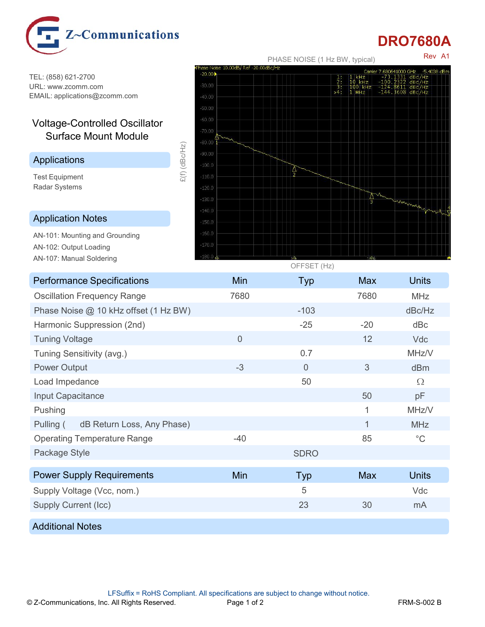

## DRO7680A

Rev A1

TEL: (858) 621-2700<br>TIPL: www.zeomm.com URL: www.zcomm.com

## Voltage-Controlled Oscillator Surface Mount Module

Test Equipment Radar Systems and the state of the state of the state of the state of the state of the state of the state of the state of the state of the state of the state of the state of the state of the state of the state of the state

AN-107: Manual Soldering



| <b>Performance Specifications</b><br>Min<br><b>Units</b><br><b>Typ</b><br><b>Max</b><br><b>Oscillation Frequency Range</b><br>7680<br>7680<br><b>MHz</b><br>Phase Noise @ 10 kHz offset (1 Hz BW)<br>$-103$<br>dBc/Hz<br>$-25$<br>$-20$<br>dBc<br>Harmonic Suppression (2nd)<br><b>Tuning Voltage</b><br>$\overline{0}$<br>12<br>Vdc<br>0.7<br>MHz/V<br>Tuning Sensitivity (avg.)<br>$\sqrt{3}$<br>$-3$<br><b>Power Output</b><br>$\overline{0}$<br>dBm<br>50<br>$\Omega$<br>Load Impedance<br>Input Capacitance<br>50<br>pF<br>MHz/V<br>Pushing<br>$\mathbf 1$<br>dB Return Loss, Any Phase)<br>Pulling (<br>$\mathbf{1}$<br>MHz<br>$-40$<br>$^{\circ}{\rm C}$<br>85<br><b>Operating Temperature Range</b><br>Package Style<br><b>SDRO</b><br><b>Power Supply Requirements</b><br>Min<br><b>Units</b><br><b>Max</b><br>Typ<br>5<br>Vdc<br>Supply Voltage (Vcc, nom.)<br>23<br>30<br><b>Supply Current (Icc)</b><br>mA<br><b>Additional Notes</b><br>LFSuffix = RoHS Compliant. All specifications are subject to change without notice.<br><b>FRM-S-002 B</b><br>Page 1 of 2 |  |  |  |
|-------------------------------------------------------------------------------------------------------------------------------------------------------------------------------------------------------------------------------------------------------------------------------------------------------------------------------------------------------------------------------------------------------------------------------------------------------------------------------------------------------------------------------------------------------------------------------------------------------------------------------------------------------------------------------------------------------------------------------------------------------------------------------------------------------------------------------------------------------------------------------------------------------------------------------------------------------------------------------------------------------------------------------------------------------------------------------|--|--|--|
|                                                                                                                                                                                                                                                                                                                                                                                                                                                                                                                                                                                                                                                                                                                                                                                                                                                                                                                                                                                                                                                                               |  |  |  |
|                                                                                                                                                                                                                                                                                                                                                                                                                                                                                                                                                                                                                                                                                                                                                                                                                                                                                                                                                                                                                                                                               |  |  |  |
|                                                                                                                                                                                                                                                                                                                                                                                                                                                                                                                                                                                                                                                                                                                                                                                                                                                                                                                                                                                                                                                                               |  |  |  |
|                                                                                                                                                                                                                                                                                                                                                                                                                                                                                                                                                                                                                                                                                                                                                                                                                                                                                                                                                                                                                                                                               |  |  |  |
|                                                                                                                                                                                                                                                                                                                                                                                                                                                                                                                                                                                                                                                                                                                                                                                                                                                                                                                                                                                                                                                                               |  |  |  |
|                                                                                                                                                                                                                                                                                                                                                                                                                                                                                                                                                                                                                                                                                                                                                                                                                                                                                                                                                                                                                                                                               |  |  |  |
|                                                                                                                                                                                                                                                                                                                                                                                                                                                                                                                                                                                                                                                                                                                                                                                                                                                                                                                                                                                                                                                                               |  |  |  |
|                                                                                                                                                                                                                                                                                                                                                                                                                                                                                                                                                                                                                                                                                                                                                                                                                                                                                                                                                                                                                                                                               |  |  |  |
|                                                                                                                                                                                                                                                                                                                                                                                                                                                                                                                                                                                                                                                                                                                                                                                                                                                                                                                                                                                                                                                                               |  |  |  |
| © Z-Communications, Inc. All Rights Reserved.                                                                                                                                                                                                                                                                                                                                                                                                                                                                                                                                                                                                                                                                                                                                                                                                                                                                                                                                                                                                                                 |  |  |  |
|                                                                                                                                                                                                                                                                                                                                                                                                                                                                                                                                                                                                                                                                                                                                                                                                                                                                                                                                                                                                                                                                               |  |  |  |
|                                                                                                                                                                                                                                                                                                                                                                                                                                                                                                                                                                                                                                                                                                                                                                                                                                                                                                                                                                                                                                                                               |  |  |  |
|                                                                                                                                                                                                                                                                                                                                                                                                                                                                                                                                                                                                                                                                                                                                                                                                                                                                                                                                                                                                                                                                               |  |  |  |
|                                                                                                                                                                                                                                                                                                                                                                                                                                                                                                                                                                                                                                                                                                                                                                                                                                                                                                                                                                                                                                                                               |  |  |  |
|                                                                                                                                                                                                                                                                                                                                                                                                                                                                                                                                                                                                                                                                                                                                                                                                                                                                                                                                                                                                                                                                               |  |  |  |
|                                                                                                                                                                                                                                                                                                                                                                                                                                                                                                                                                                                                                                                                                                                                                                                                                                                                                                                                                                                                                                                                               |  |  |  |
|                                                                                                                                                                                                                                                                                                                                                                                                                                                                                                                                                                                                                                                                                                                                                                                                                                                                                                                                                                                                                                                                               |  |  |  |
|                                                                                                                                                                                                                                                                                                                                                                                                                                                                                                                                                                                                                                                                                                                                                                                                                                                                                                                                                                                                                                                                               |  |  |  |
|                                                                                                                                                                                                                                                                                                                                                                                                                                                                                                                                                                                                                                                                                                                                                                                                                                                                                                                                                                                                                                                                               |  |  |  |
|                                                                                                                                                                                                                                                                                                                                                                                                                                                                                                                                                                                                                                                                                                                                                                                                                                                                                                                                                                                                                                                                               |  |  |  |
|                                                                                                                                                                                                                                                                                                                                                                                                                                                                                                                                                                                                                                                                                                                                                                                                                                                                                                                                                                                                                                                                               |  |  |  |
|                                                                                                                                                                                                                                                                                                                                                                                                                                                                                                                                                                                                                                                                                                                                                                                                                                                                                                                                                                                                                                                                               |  |  |  |
|                                                                                                                                                                                                                                                                                                                                                                                                                                                                                                                                                                                                                                                                                                                                                                                                                                                                                                                                                                                                                                                                               |  |  |  |